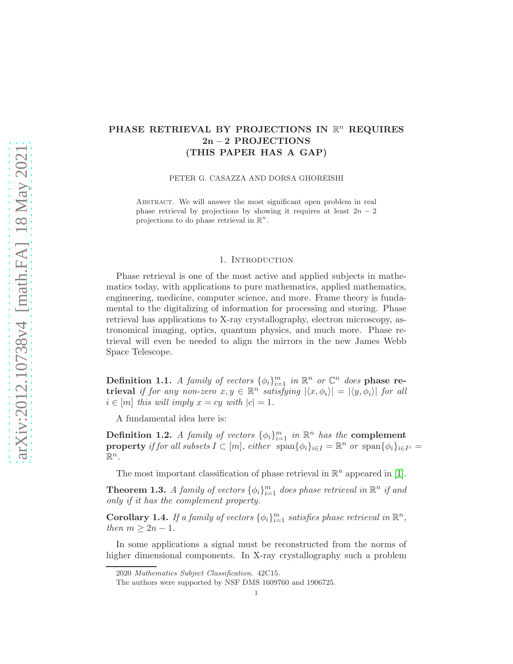## PHASE RETRIEVAL BY PROJECTIONS IN  $\mathbb{R}^n$  REQUIRES 2n − 2 PROJECTIONS (THIS PAPER HAS A GAP)

PETER G. CASAZZA AND DORSA GHOREISHI

ABSTRACT. We will answer the most significant open problem in real phase retrieval by projections by showing it requires at least  $2n - 2$ projections to do phase retrieval in  $\mathbb{R}^n$ .

## 1. INTRODUCTION

Phase retrieval is one of the most active and applied subjects in mathematics today, with applications to pure mathematics, applied mathematics, engineering, medicine, computer science, and more. Frame theory is fundamental to the digitalizing of information for processing and storing. Phase retrieval has applications to X-ray crystallography, electron microscopy, astronomical imaging, optics, quantum physics, and much more. Phase retrieval will even be needed to align the mirrors in the new James Webb Space Telescope.

Definition 1.1. *A family of vectors*  $\{\phi_i\}_{i=1}^m$  *in*  $\mathbb{R}^n$  *or*  $\mathbb{C}^n$  *does* phase re- ${\sf trieval}$  *if for any non-zero*  $x, y \in \mathbb{R}^n$  *satisfying*  $|\langle x, \phi_i \rangle| = |\langle y, \phi_i \rangle|$  *for all*  $i \in [m]$  *this will imply*  $x = cy$  *with*  $|c| = 1$ *.* 

A fundamental idea here is:

Definition 1.2. *A family of vectors*  $\{\phi_i\}_{i=1}^m$  *in*  $\mathbb{R}^n$  *has the* complement **property** if for all subsets  $I \subset [m]$ , either  $\text{span}\{\phi_i\}_{i \in I} = \mathbb{R}^n$  or  $\text{span}\{\phi_i\}_{i \in I^c} =$  $\mathbb{R}^n$ .

The most important classification of phase retrieval in  $\mathbb{R}^n$  appeared in [\[1\]](#page-8-0).

**Theorem 1.3.** *A family of vectors*  $\{\phi_i\}_{i=1}^m$  *does phase retrieval in*  $\mathbb{R}^n$  *if and only if it has the complement property.*

**Corollary 1.4.** If a family of vectors  $\{\phi_i\}_{i=1}^m$  satisfies phase retrieval in  $\mathbb{R}^n$ , *then*  $m \geq 2n - 1$ *.* 

In some applications a signal must be reconstructed from the norms of higher dimensional components. In X-ray crystallography such a problem

<sup>2020</sup> Mathematics Subject Classification. 42C15.

The authors were supported by NSF DMS 1609760 and 1906725.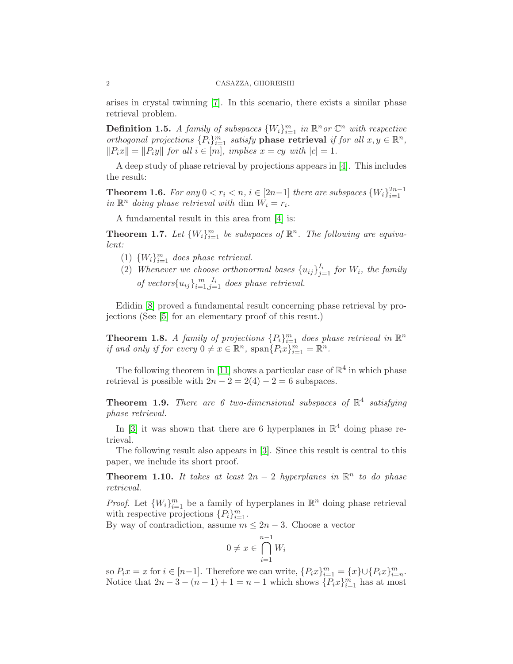arises in crystal twinning [\[7\]](#page-8-1). In this scenario, there exists a similar phase retrieval problem.

**Definition 1.5.** *A family of subspaces*  $\{W_i\}_{i=1}^m$  *in*  $\mathbb{R}^n$  *or*  $\mathbb{C}^n$  *with respective orthogonal projections*  $\{P_i\}_{i=1}^m$  *satisfy* **phase retrieval** *if for all*  $x, y \in \mathbb{R}^n$ *,*  $||P_ix|| = ||P_iy||$  *for all*  $i \in [m]$ *, implies*  $x = cy$  *with*  $|c| = 1$ *.* 

A deep study of phase retrieval by projections appears in [\[4\]](#page-8-2). This includes the result:

**Theorem 1.6.** For any  $0 < r_i < n$ ,  $i \in [2n-1]$  there are subspaces  $\{W_i\}_{i=1}^{2n-1}$ in  $\mathbb{R}^n$  doing phase retrieval with dim  $W_i = r_i$ .

A fundamental result in this area from [\[4\]](#page-8-2) is:

**Theorem 1.7.** Let  $\{W_i\}_{i=1}^m$  be subspaces of  $\mathbb{R}^n$ . The following are equiva*lent:*

- (1)  ${W<sub>i</sub>}<sub>i=1</sub><sup>m</sup> does phase retrieval.$
- (2) Whenever we choose orthonormal bases  ${u_{ij}}_{j=1}^{I_i}$  for  $W_i$ , the family of vectors ${u_{ij}}_{i=1,j=1}^{m}$  does phase retrieval.

Edidin [\[8\]](#page-8-3) proved a fundamental result concerning phase retrieval by projections (See [\[5\]](#page-8-4) for an elementary proof of this resut.)

<span id="page-1-0"></span>**Theorem 1.8.** *A family of projections*  ${P_i}_{i=1}^m$  *does phase retrieval in*  $\mathbb{R}^n$ *if and only if for every*  $0 \neq x \in \mathbb{R}^n$ ,  $\text{span}\{P_ix\}_{i=1}^m = \mathbb{R}^n$ .

The following theorem in [\[11\]](#page-8-5) shows a particular case of  $\mathbb{R}^4$  in which phase retrieval is possible with  $2n - 2 = 2(4) - 2 = 6$  subspaces.

Theorem 1.9. *There are 6 two-dimensional subspaces of* R 4 *satisfying phase retrieval.*

In [\[3\]](#page-8-6) it was shown that there are 6 hyperplanes in  $\mathbb{R}^4$  doing phase retrieval.

The following result also appears in [\[3\]](#page-8-6). Since this result is central to this paper, we include its short proof.

<span id="page-1-1"></span>**Theorem 1.10.** It takes at least  $2n - 2$  hyperplanes in  $\mathbb{R}^n$  to do phase *retrieval.*

*Proof.* Let  $\{W_i\}_{i=1}^m$  be a family of hyperplanes in  $\mathbb{R}^n$  doing phase retrieval with respective projections  $\{P_i\}_{i=1}^m$ .

By way of contradiction, assume  $m \leq 2n - 3$ . Choose a vector

$$
0 \neq x \in \bigcap_{i=1}^{n-1} W_i
$$

so  $P_ix = x$  for  $i \in [n-1]$ . Therefore we can write,  $\{P_ix\}_{i=1}^m = \{x\} \cup \{P_ix\}_{i=n}^m$ . Notice that  $2n-3-(n-1)+1=n-1$  which shows  $\{P_ix\}_{i=1}^m$  has at most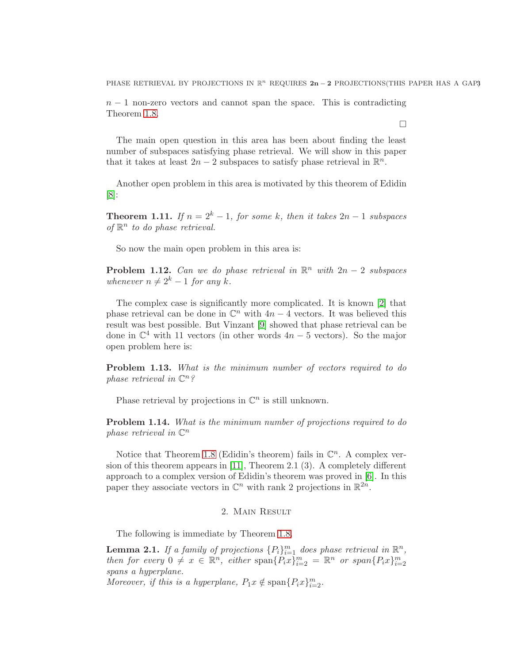PHASE RETRIEVAL BY PROJECTIONS IN  $\mathbb{R}^n$  REQUIRES  $2n-2$  PROJECTIONS(THIS PAPER HAS A GAP3

 $n-1$  non-zero vectors and cannot span the space. This is contradicting Theorem [1.8.](#page-1-0)

 $\Box$ 

The main open question in this area has been about finding the least number of subspaces satisfying phase retrieval. We will show in this paper that it takes at least  $2n-2$  subspaces to satisfy phase retrieval in  $\mathbb{R}^n$ .

Another open problem in this area is motivated by this theorem of Edidin [\[8\]](#page-8-3):

**Theorem 1.11.** *If*  $n = 2<sup>k</sup> - 1$ *, for some* k*, then it takes*  $2n - 1$  *subspaces* of  $\mathbb{R}^n$  to do phase retrieval.

So now the main open problem in this area is:

**Problem 1.12.** *Can we do phase retrieval in*  $\mathbb{R}^n$  *with*  $2n - 2$  *subspaces whenever*  $n \neq 2^k - 1$  *for any* k.

The complex case is significantly more complicated. It is known [\[2\]](#page-8-7) that phase retrieval can be done in  $\mathbb{C}^n$  with  $4n-4$  vectors. It was believed this result was best possible. But Vinzant [\[9\]](#page-8-8) showed that phase retrieval can be done in  $\mathbb{C}^4$  with 11 vectors (in other words  $4n-5$  vectors). So the major open problem here is:

Problem 1.13. *What is the minimum number of vectors required to do phase retrieval in* C n*?*

Phase retrieval by projections in  $\mathbb{C}^n$  is still unknown.

Problem 1.14. *What is the minimum number of projections required to do phase retrieval in* C n

Notice that Theorem [1.8](#page-1-0) (Edidin's theorem) fails in  $\mathbb{C}^n$ . A complex version of this theorem appears in [\[11\]](#page-8-5), Theorem 2.1 (3). A completely different approach to a complex version of Edidin's theorem was proved in [\[6\]](#page-8-9). In this paper they associate vectors in  $\mathbb{C}^n$  with rank 2 projections in  $\mathbb{R}^{2n}$ .

## 2. Main Result

The following is immediate by Theorem [1.8.](#page-1-0)

**Lemma 2.1.** If a family of projections  ${P_i}_{i=1}^m$  does phase retrieval in  $\mathbb{R}^n$ , *then for every*  $0 \neq x \in \mathbb{R}^n$ , *either*  $\text{span}\{P_ix\}_{i=2}^m = \mathbb{R}^n$  *or*  $\text{span}\{P_ix\}_{i=2}^m$ *spans a hyperplane.*

*Moreover, if this is a hyperplane,*  $P_1x \notin \text{span}\{P_ix\}_{i=2}^m$ .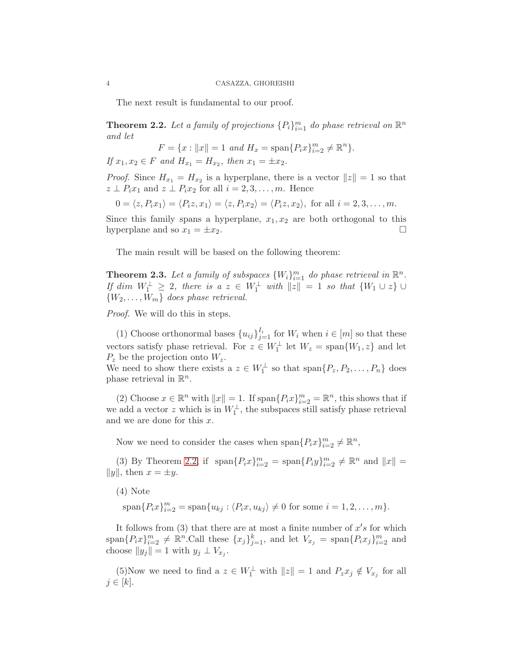The next result is fundamental to our proof.

<span id="page-3-0"></span>**Theorem 2.2.** Let a family of projections  ${P_i}_{i=1}^m$  do phase retrieval on  $\mathbb{R}^n$ *and let*

$$
F = \{x : ||x|| = 1 \text{ and } H_x = \text{span}\{P_i x\}_{i=2}^m \neq \mathbb{R}^n\}.
$$

*If*  $x_1, x_2 \in F$  *and*  $H_{x_1} = H_{x_2}$ *, then*  $x_1 = \pm x_2$ *.* 

*Proof.* Since  $H_{x_1} = H_{x_2}$  is a hyperplane, there is a vector  $||z|| = 1$  so that  $z \perp P_i x_1$  and  $z \perp P_i x_2$  for all  $i = 2, 3, ..., m$ . Hence

$$
0 = \langle z, P_i x_1 \rangle = \langle P_i z, x_1 \rangle = \langle z, P_i x_2 \rangle = \langle P_i z, x_2 \rangle, \text{ for all } i = 2, 3, \dots, m.
$$

Since this family spans a hyperplane,  $x_1, x_2$  are both orthogonal to this hyperplane and so  $x_1 = \pm x_2$ .

The main result will be based on the following theorem:

**Theorem 2.3.** Let a family of subspaces  $\{W_i\}_{i=1}^m$  do phase retrieval in  $\mathbb{R}^n$ . *If* dim  $W_1^{\perp} \geq 2$ , there is a  $z \in W_1^{\perp}$  with  $||z|| = 1$  so that  $\{W_1 \cup z\} \cup$  $\{W_2, \ldots, W_m\}$  does phase retrieval.

*Proof.* We will do this in steps.

(1) Choose orthonormal bases  $\{u_{ij}\}_{j=1}^{I_i}$  for  $W_i$  when  $i \in [m]$  so that these vectors satisfy phase retrieval. For  $z \in W_1^{\perp}$  let  $W_z = \text{span}\{W_1, z\}$  and let  $P_z$  be the projection onto  $W_z$ .

We need to show there exists a  $z \in W_1^{\perp}$  so that  $\text{span}\{P_z, P_2, \ldots, P_n\}$  does phase retrieval in  $\mathbb{R}^n$ .

(2) Choose  $x \in \mathbb{R}^n$  with  $||x|| = 1$ . If  $\text{span}\{P_i x\}_{i=2}^m = \mathbb{R}^n$ , this shows that if we add a vector z which is in  $W_1^{\perp}$ , the subspaces still satisfy phase retrieval and we are done for this  $x$ .

Now we need to consider the cases when  $\text{span}\{P_ix\}_{i=2}^m \neq \mathbb{R}^n$ ,

(3) By Theorem [2.2,](#page-3-0) if  $\text{span}\{P_ix\}_{i=2}^m = \text{span}\{P_iy\}_{i=2}^m \neq \mathbb{R}^n$  and  $||x|| =$  $||y||$ , then  $x = \pm y$ .

(4) Note

 $\text{span}\{P_i x\}_{i=2}^m = \text{span}\{u_{kj} : \langle P_i x, u_{kj} \rangle \neq 0 \text{ for some } i = 1, 2, ..., m\}.$ 

It follows from  $(3)$  that there are at most a finite number of  $x's$  for which  $\text{span}\{P_ix\}_{i=2}^m \neq \mathbb{R}^n$ . Call these  $\{x_j\}_{j=1}^k$ , and let  $V_{x_j} = \text{span}\{P_ix_j\}_{i=2}^m$  and choose  $||y_j|| = 1$  with  $y_j \perp V_{x_j}$ .

(5)Now we need to find a  $z \in W_1^{\perp}$  with  $||z|| = 1$  and  $P_z x_j \notin V_{x_j}$  for all  $j \in [k]$ .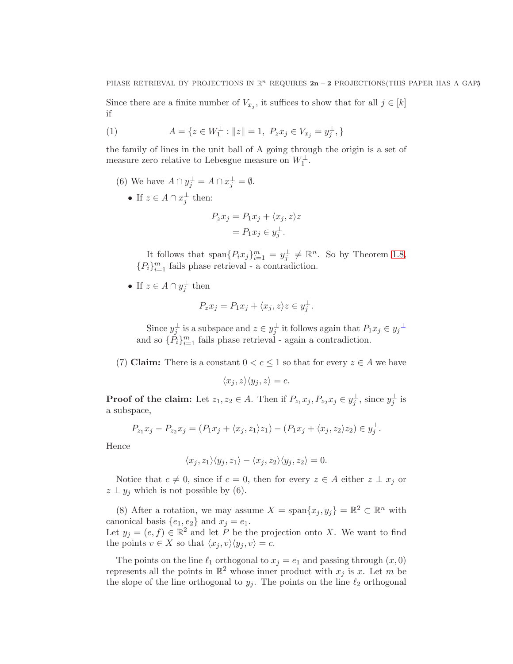Since there are a finite number of  $V_{x_j}$ , it suffices to show that for all  $j \in [k]$ if

(1) 
$$
A = \{ z \in W_1^{\perp} : ||z|| = 1, \ P_z x_j \in V_{x_j} = y_j^{\perp}, \}
$$

the family of lines in the unit ball of A going through the origin is a set of measure zero relative to Lebesgue measure on  $W_1^\perp.$ 

- (6) We have  $A \cap y_j^{\perp} = A \cap x_j^{\perp} = \emptyset$ .
	- If  $z \in A \cap x_i^{\perp}$  $\frac{1}{j}$  then:

$$
P_z x_j = P_1 x_j + \langle x_j, z \rangle z
$$
  
=  $P_1 x_j \in y_j^{\perp}$ .

It follows that  $\text{span}\{P_ix_j\}_{i=1}^m = y_j^{\perp}$  $j^{\perp} \neq \mathbb{R}^n$ . So by Theorem [1.8,](#page-1-0)  ${P_i}_{i=1}^m$  fails phase retrieval - a contradiction.

• If  $z \in A \cap y_i^{\perp}$  $\frac{1}{j}$  then

$$
P_z x_j = P_1 x_j + \langle x_j, z \rangle z \in y_j^{\perp}.
$$

Since  $y_i^{\perp}$  $j^{\perp}$  is a subspace and  $z \in y_j^{\perp}$  $j^{\perp}$  it follows again that  $P_1x_j \in y_j^{\perp}$ and so  $\{\tilde{P}_i\}_{i=1}^m$  fails phase retrieval - again a contradiction.

(7) Claim: There is a constant  $0 < c \leq 1$  so that for every  $z \in A$  we have

$$
\langle x_j, z \rangle \langle y_j, z \rangle = c.
$$

**Proof of the claim:** Let  $z_1, z_2 \in A$ . Then if  $P_{z_1}x_j, P_{z_2}x_j \in y_i^{\perp}$  $j^{\perp}$ , since  $y_j^{\perp}$  $\frac{1}{j}$  is a subspace,

$$
P_{z_1}x_j - P_{z_2}x_j = (P_1x_j + \langle x_j, z_1 \rangle z_1) - (P_1x_j + \langle x_j, z_2 \rangle z_2) \in y_j^{\perp}.
$$

Hence

$$
\langle x_j, z_1 \rangle \langle y_j, z_1 \rangle - \langle x_j, z_2 \rangle \langle y_j, z_2 \rangle = 0.
$$

Notice that  $c \neq 0$ , since if  $c = 0$ , then for every  $z \in A$  either  $z \perp x_j$  or  $z \perp y_j$  which is not possible by (6).

(8) After a rotation, we may assume  $X = \text{span}\{x_j, y_j\} = \mathbb{R}^2 \subset \mathbb{R}^n$  with canonical basis  $\{e_1, e_2\}$  and  $x_j = e_1$ . Let  $y_j = (e, f) \in \mathbb{R}^2$  and let P be the projection onto X. We want to find the points  $v \in X$  so that  $\langle x_j, v \rangle \langle y_j, v \rangle = c$ .

The points on the line  $\ell_1$  orthogonal to  $x_j = e_1$  and passing through  $(x, 0)$ represents all the points in  $\mathbb{R}^2$  whose inner product with  $x_j$  is x. Let m be the slope of the line orthogonal to  $y_j$ . The points on the line  $\ell_2$  orthogonal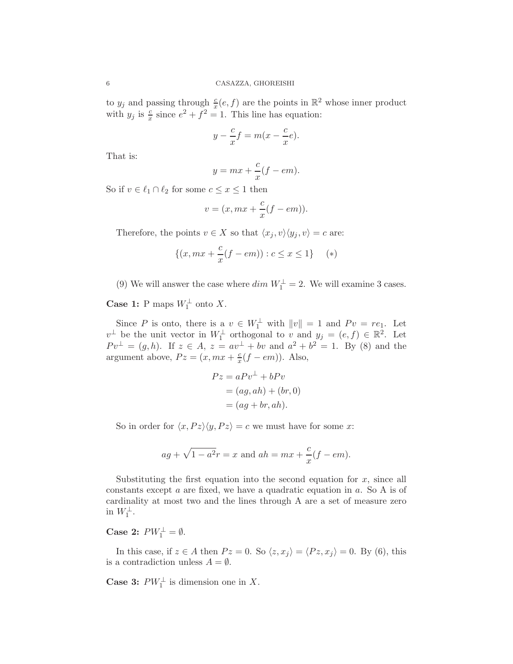to  $y_j$  and passing through  $\frac{c}{x}(e, f)$  are the points in  $\mathbb{R}^2$  whose inner product with  $y_j$  is  $\frac{c}{x}$  since  $e^2 + f^2 = 1$ . This line has equation:

$$
y - \frac{c}{x}f = m(x - \frac{c}{x}e).
$$

That is:

$$
y = mx + \frac{c}{x}(f - em).
$$

So if  $v \in \ell_1 \cap \ell_2$  for some  $c \leq x \leq 1$  then

$$
v = (x, mx + \frac{c}{x}(f - em)).
$$

Therefore, the points  $v \in X$  so that  $\langle x_i, v \rangle \langle y_i, v \rangle = c$  are:

$$
\{(x, mx + \frac{c}{x}(f - em)) : c \le x \le 1\} \quad (*)
$$

(9) We will answer the case where  $dim\ W_1^{\perp}=2$ . We will examine 3 cases.

**Case 1:** P maps  $W_1^{\perp}$  onto X.

Since P is onto, there is a  $v \in W_1^{\perp}$  with  $||v|| = 1$  and  $Pv = re_1$ . Let  $v^{\perp}$  be the unit vector in  $W_1^{\perp}$  orthogonal to v and  $y_j = (e, f) \in \mathbb{R}^2$ . Let  $Pv^{\perp} = (g, h)$ . If  $z \in A$ ,  $z = av^{\perp} + bv$  and  $a^2 + b^2 = 1$ . By (8) and the argument above,  $Pz = (x, mx + \frac{c}{x})$  $\frac{c}{x}(f-em)$ ). Also,

$$
Pz = aPv^{\perp} + bPv
$$
  
=  $(ag, ah) + (br, 0)$   
=  $(ag + br, ah)$ .

So in order for  $\langle x, Pz \rangle \langle y, Pz \rangle = c$  we must have for some x:

$$
ag + \sqrt{1 - a^2}r = x
$$
 and  $ah = mx + \frac{c}{x}(f - em)$ .

Substituting the first equation into the second equation for  $x$ , since all constants except  $a$  are fixed, we have a quadratic equation in  $a$ . So A is of cardinality at most two and the lines through A are a set of measure zero in  $W_1^{\perp}$ .

Case 2:  $PW_1^{\perp} = \emptyset$ .

In this case, if  $z \in A$  then  $Pz = 0$ . So  $\langle z, x_j \rangle = \langle Pz, x_j \rangle = 0$ . By (6), this is a contradiction unless  $A = \emptyset$ .

**Case 3:**  $PW_1^{\perp}$  is dimension one in X.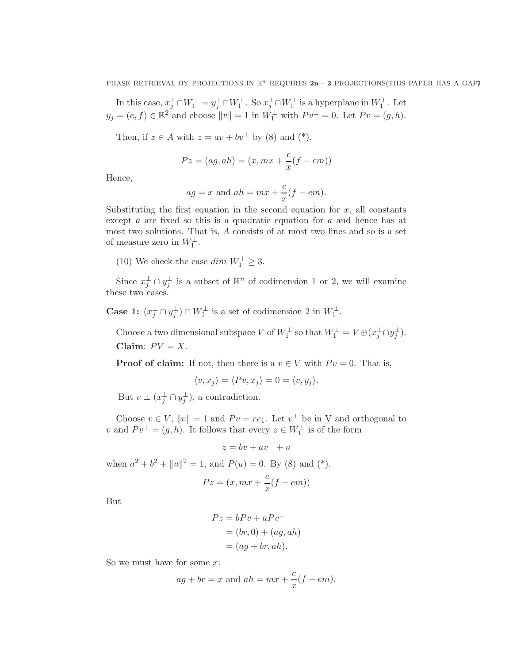In this case,  $x_j^{\perp} \cap W_1^{\perp} = y_j^{\perp} \cap W_1^{\perp}$ . So  $x_j^{\perp} \cap W_1^{\perp}$  is a hyperplane in  $W_1^{\perp}$ . Let  $y_j = (e, f) \in \mathbb{R}^2$  and choose  $||v|| = 1$  in  $W_1^{\perp}$  with  $P v^{\perp} = 0$ . Let  $P v = (g, h)$ .

Then, if  $z \in A$  with  $z = av + bv^{\perp}$  by (8) and (\*),

$$
Pz = (ag, ah) = (x, mx + \frac{c}{x}(f - em))
$$

Hence,

$$
ag = x \text{ and } ah = mx + \frac{c}{x}(f - em).
$$

Substituting the first equation in the second equation for  $x$ , all constants except a are fixed so this is a quadratic equation for a and hence has at most two solutions. That is, A consists of at most two lines and so is a set of measure zero in  $W_1^{\perp}$ .

(10) We check the case  $dim\ W_1^\perp\geq 3.$ 

Since  $x_j^{\perp} \cap y_j^{\perp}$  $\frac{1}{j}$  is a subset of  $\mathbb{R}^n$  of codimension 1 or 2, we will examine these two cases.

Case 1:  $(x_j^{\perp} \cap y_j^{\perp})$  $j^{\perp}$ )  $\cap W_1^{\perp}$  is a set of codimension 2 in  $W_1^{\perp}$ .

Choose a two dimensional subspace V of  $W_1^{\perp}$  so that  $W_1^{\perp} = V \oplus (x_j^{\perp} \cap y_j^{\perp})$  $_{j}^{\pm}$ ). Claim:  $PV = X$ .

**Proof of claim:** If not, then there is a  $v \in V$  with  $P v = 0$ . That is,

$$
\langle v, x_j \rangle = \langle Pv, x_j \rangle = 0 = \langle v, y_j \rangle.
$$

But  $v \perp (x_j^{\perp} \cap y_j^{\perp})$  $j^{\perp}$ , a contradiction.

Choose  $v \in V$ ,  $||v|| = 1$  and  $Pv = re_1$ . Let  $v^{\perp}$  be in V and orthogonal to v and  $Pv^{\perp} = (g, h)$ . It follows that every  $z \in W_1^{\perp}$  is of the form

 $z = bv + av^{\perp} + u$ 

when  $a^2 + b^2 + ||u||^2 = 1$ , and  $P(u) = 0$ . By (8) and (\*),

$$
Pz = (x, mx + \frac{c}{x}(f - em))
$$

But

$$
Pz = bPv + aPv^{\perp}
$$
  
= (br, 0) + (ag, ah)  
= (ag + br, ah).

So we must have for some  $x$ :

$$
ag + br = x
$$
 and  $ah = mx + \frac{c}{x}(f - em).$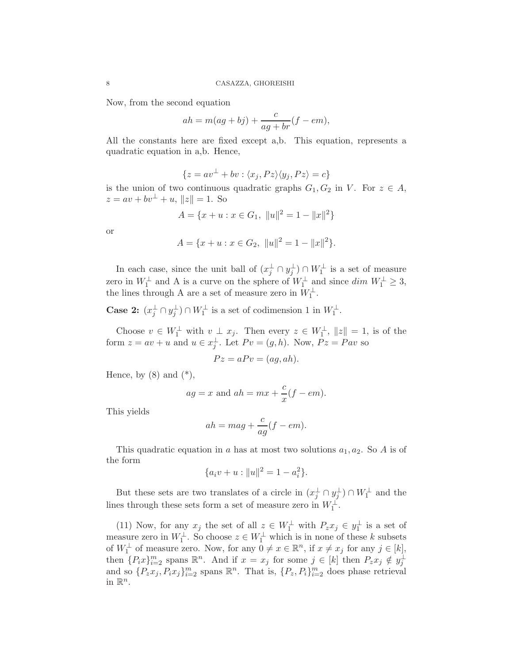Now, from the second equation

$$
ah = m(ag + bj) + \frac{c}{ag + br}(f - em),
$$

All the constants here are fixed except a,b. This equation, represents a quadratic equation in a,b. Hence,

$$
\{z = av^{\perp} + bv : \langle x_j, Pz \rangle \langle y_j, Pz \rangle = c\}
$$

is the union of two continuous quadratic graphs  $G_1, G_2$  in V. For  $z \in A$ ,  $z = av + bv^{\perp} + u, ||z|| = 1.$  So

$$
A = \{x + u : x \in G_1, ||u||^2 = 1 - ||x||^2\}
$$

or

$$
A = \{x + u : x \in G_2, ||u||^2 = 1 - ||x||^2\}.
$$

In each case, since the unit ball of  $(x_j^{\perp} \cap y_j^{\perp})$  $j^{\perp}$ ) ∩  $W_1^{\perp}$  is a set of measure zero in  $W_1^{\perp}$  and A is a curve on the sphere of  $W_1^{\perp}$  and since  $\dim W_1^{\perp} \geq 3$ , the lines through A are a set of measure zero in  $W_1^{\perp}$ .

Case 2:  $(x_j^{\perp} \cap y_j^{\perp})$  $j^{\perp}$ )  $\cap W_1^{\perp}$  is a set of codimension 1 in  $W_1^{\perp}$ .

Choose  $v \in W_1^{\perp}$  with  $v \perp x_j$ . Then every  $z \in W_1^{\perp}$ ,  $||z|| = 1$ , is of the form  $z = av + u$  and  $u \in x_i^{\perp}$  $j^{\perp}$ . Let  $Pv = (g, h)$ . Now,  $Pz = Pav$  so

$$
Pz = aPv = (ag, ah).
$$

Hence, by  $(8)$  and  $(*),$ 

$$
ag = x \text{ and } ah = mx + \frac{c}{x}(f - em).
$$

This yields

$$
ah = mag + \frac{c}{ag}(f - em).
$$

This quadratic equation in a has at most two solutions  $a_1, a_2$ . So A is of the form

$$
\{a_i v + u : ||u||^2 = 1 - a_i^2\}.
$$

But these sets are two translates of a circle in  $(x_j^{\perp} \cap y_j^{\perp})$  $(\frac{1}{j}) \cap W_1^{\perp}$  and the lines through these sets form a set of measure zero in  $W_1^{\perp}$ .

(11) Now, for any  $x_j$  the set of all  $z \in W_1^{\perp}$  with  $P_z x_j \in y_1^{\perp}$  $_1^{\perp}$  is a set of measure zero in  $W_1^{\perp}$ . So choose  $z \in W_1^{\perp}$  which is in none of these k subsets of  $W_1^{\perp}$  of measure zero. Now, for any  $0 \neq x \in \mathbb{R}^n$ , if  $x \neq x_j$  for any  $j \in [k]$ , then  ${P_ix}_{i=2}^m$  spans  $\mathbb{R}^n$ . And if  $x = x_j$  for some  $j \in [k]$  then  $P_z x_j \notin y_j^{\perp}$ j and so  $\{P_z x_j, P_i x_j\}_{i=2}^m$  spans  $\mathbb{R}^n$ . That is,  $\{P_z, P_i\}_{i=2}^m$  does phase retrieval in  $\mathbb{R}^n$ .